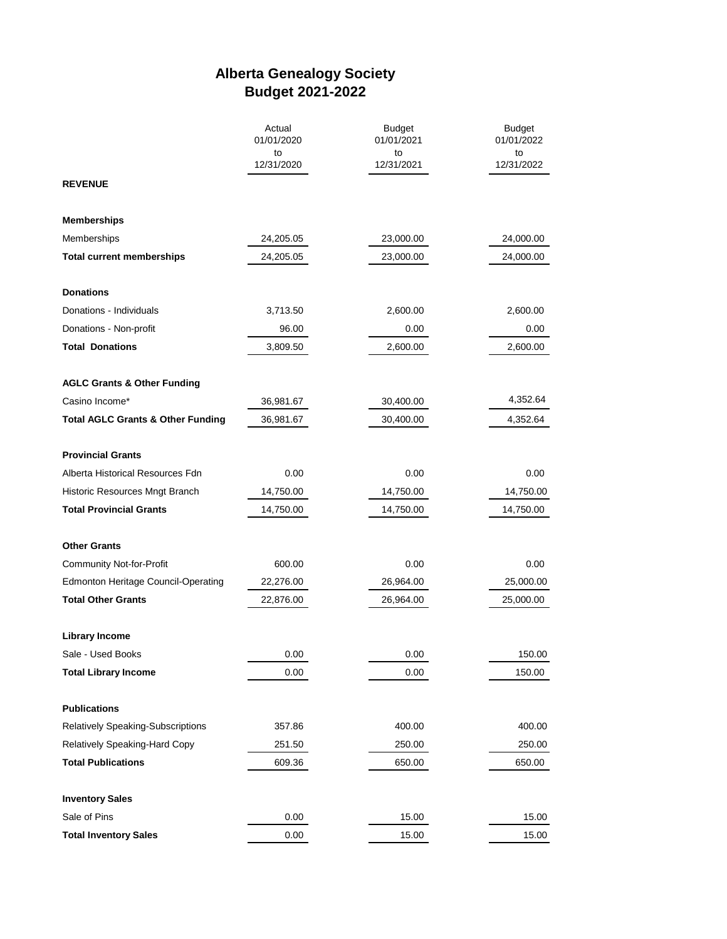## **Alberta Genealogy Society Budget 2021-2022**

|                                              | Actual<br>01/01/2020 | <b>Budget</b><br>01/01/2021 | <b>Budget</b><br>01/01/2022 |
|----------------------------------------------|----------------------|-----------------------------|-----------------------------|
|                                              | to<br>12/31/2020     | to<br>12/31/2021            | to<br>12/31/2022            |
| <b>REVENUE</b>                               |                      |                             |                             |
| <b>Memberships</b>                           |                      |                             |                             |
| Memberships                                  | 24,205.05            | 23,000.00                   | 24,000.00                   |
| <b>Total current memberships</b>             | 24,205.05            | 23,000.00                   | 24,000.00                   |
| <b>Donations</b>                             |                      |                             |                             |
| Donations - Individuals                      | 3,713.50             | 2,600.00                    | 2,600.00                    |
| Donations - Non-profit                       | 96.00                | 0.00                        | 0.00                        |
| <b>Total Donations</b>                       | 3,809.50             | 2,600.00                    | 2,600.00                    |
| <b>AGLC Grants &amp; Other Funding</b>       |                      |                             |                             |
| Casino Income*                               | 36,981.67            | 30,400.00                   | 4,352.64                    |
| <b>Total AGLC Grants &amp; Other Funding</b> | 36,981.67            | 30,400.00                   | 4,352.64                    |
| <b>Provincial Grants</b>                     |                      |                             |                             |
| Alberta Historical Resources Fdn             | 0.00                 | 0.00                        | 0.00                        |
| Historic Resources Mngt Branch               | 14,750.00            | 14,750.00                   | 14,750.00                   |
| <b>Total Provincial Grants</b>               | 14,750.00            | 14,750.00                   | 14,750.00                   |
| <b>Other Grants</b>                          |                      |                             |                             |
| Community Not-for-Profit                     | 600.00               | 0.00                        | 0.00                        |
| <b>Edmonton Heritage Council-Operating</b>   | 22,276.00            | 26,964.00                   | 25,000.00                   |
| <b>Total Other Grants</b>                    | 22,876.00            | 26,964.00                   | 25,000.00                   |
| <b>Library Income</b>                        |                      |                             |                             |
| Sale - Used Books                            | 0.00                 | 0.00                        | 150.00                      |
| <b>Total Library Income</b>                  | 0.00                 | 0.00                        | 150.00                      |
| <b>Publications</b>                          |                      |                             |                             |
| <b>Relatively Speaking-Subscriptions</b>     | 357.86               | 400.00                      | 400.00                      |
| Relatively Speaking-Hard Copy                | 251.50               | 250.00                      | 250.00                      |
| <b>Total Publications</b>                    | 609.36               | 650.00                      | 650.00                      |
| <b>Inventory Sales</b>                       |                      |                             |                             |
| Sale of Pins                                 | 0.00                 | 15.00                       | 15.00                       |
| <b>Total Inventory Sales</b>                 | 0.00                 | 15.00                       | 15.00                       |
|                                              |                      |                             |                             |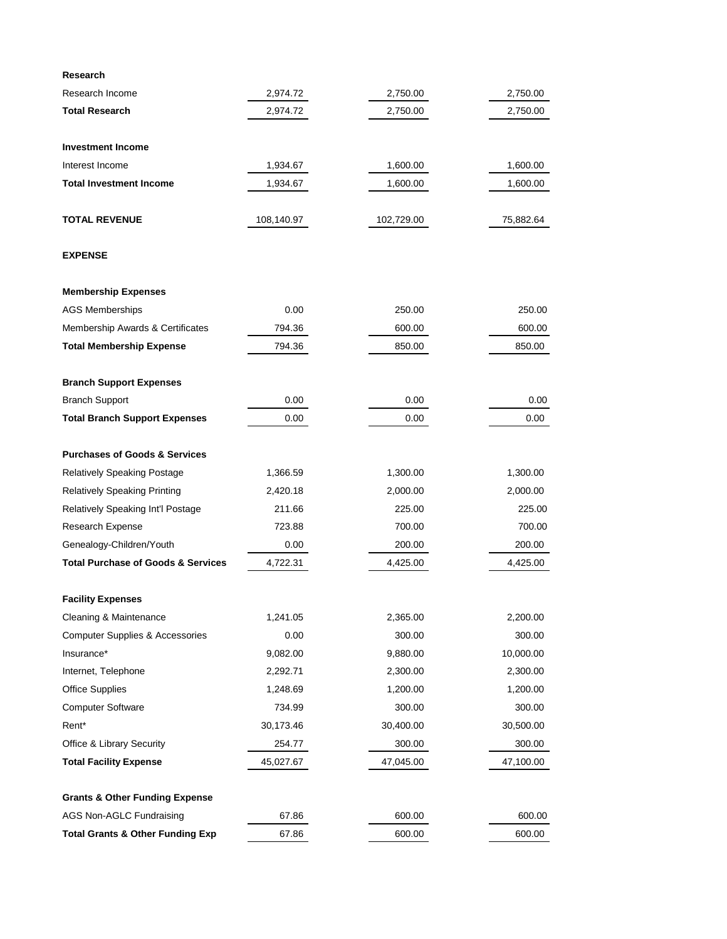| Research                                      |            |            |           |
|-----------------------------------------------|------------|------------|-----------|
| Research Income                               | 2,974.72   | 2,750.00   | 2,750.00  |
| <b>Total Research</b>                         | 2,974.72   | 2,750.00   | 2,750.00  |
| <b>Investment Income</b>                      |            |            |           |
| Interest Income                               | 1,934.67   | 1,600.00   | 1,600.00  |
| <b>Total Investment Income</b>                | 1,934.67   | 1,600.00   | 1,600.00  |
| <b>TOTAL REVENUE</b>                          | 108,140.97 | 102,729.00 | 75,882.64 |
| <b>EXPENSE</b>                                |            |            |           |
| <b>Membership Expenses</b>                    |            |            |           |
| <b>AGS Memberships</b>                        | 0.00       | 250.00     | 250.00    |
| Membership Awards & Certificates              | 794.36     | 600.00     | 600.00    |
| <b>Total Membership Expense</b>               | 794.36     | 850.00     | 850.00    |
| <b>Branch Support Expenses</b>                |            |            |           |
| <b>Branch Support</b>                         | 0.00       | 0.00       | 0.00      |
| <b>Total Branch Support Expenses</b>          | 0.00       | 0.00       | 0.00      |
| <b>Purchases of Goods &amp; Services</b>      |            |            |           |
| Relatively Speaking Postage                   | 1,366.59   | 1,300.00   | 1,300.00  |
| <b>Relatively Speaking Printing</b>           | 2,420.18   | 2,000.00   | 2,000.00  |
| Relatively Speaking Int'l Postage             | 211.66     | 225.00     | 225.00    |
| Research Expense                              | 723.88     | 700.00     | 700.00    |
| Genealogy-Children/Youth                      | 0.00       | 200.00     | 200.00    |
| <b>Total Purchase of Goods &amp; Services</b> | 4,722.31   | 4,425.00   | 4,425.00  |
| <b>Facility Expenses</b>                      |            |            |           |
| Cleaning & Maintenance                        | 1,241.05   | 2,365.00   | 2,200.00  |
| <b>Computer Supplies &amp; Accessories</b>    | 0.00       | 300.00     | 300.00    |
| Insurance*                                    | 9,082.00   | 9,880.00   | 10,000.00 |
| Internet, Telephone                           | 2,292.71   | 2,300.00   | 2,300.00  |
| <b>Office Supplies</b>                        | 1,248.69   | 1,200.00   | 1,200.00  |
| <b>Computer Software</b>                      | 734.99     | 300.00     | 300.00    |
| Rent*                                         | 30,173.46  | 30,400.00  | 30,500.00 |
| Office & Library Security                     | 254.77     | 300.00     | 300.00    |
| <b>Total Facility Expense</b>                 | 45,027.67  | 47,045.00  | 47,100.00 |
| <b>Grants &amp; Other Funding Expense</b>     |            |            |           |
| AGS Non-AGLC Fundraising                      | 67.86      | 600.00     | 600.00    |
| <b>Total Grants &amp; Other Funding Exp</b>   | 67.86      | 600.00     | 600.00    |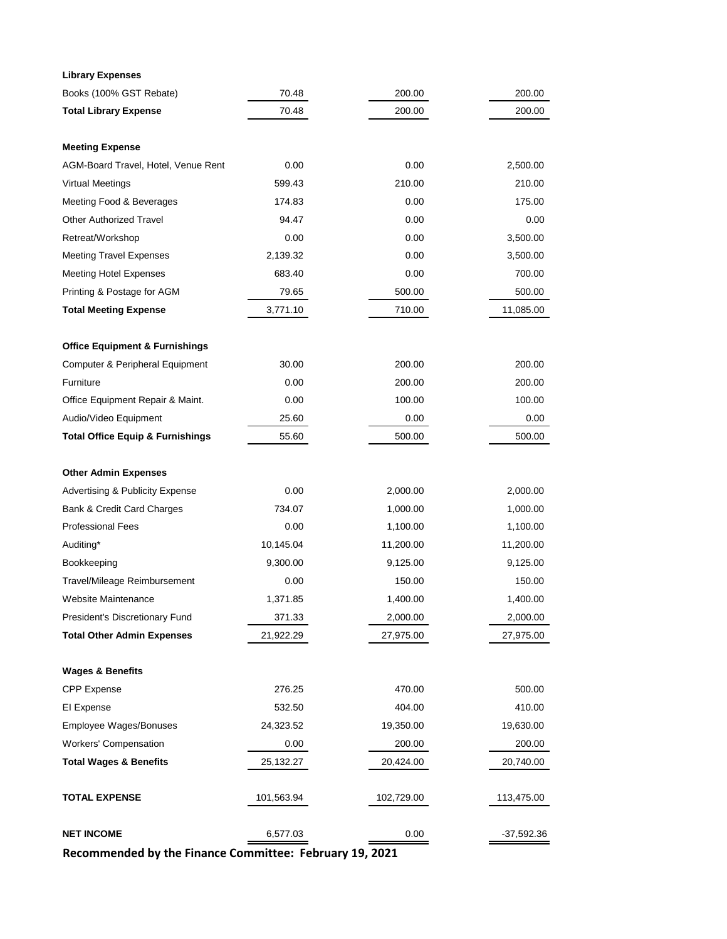| <b>Library Expenses</b>                     |            |            |            |
|---------------------------------------------|------------|------------|------------|
| Books (100% GST Rebate)                     | 70.48      | 200.00     | 200.00     |
| <b>Total Library Expense</b>                | 70.48      | 200.00     | 200.00     |
|                                             |            |            |            |
| <b>Meeting Expense</b>                      |            |            |            |
| AGM-Board Travel, Hotel, Venue Rent         | 0.00       | 0.00       | 2,500.00   |
| <b>Virtual Meetings</b>                     | 599.43     | 210.00     | 210.00     |
| Meeting Food & Beverages                    | 174.83     | 0.00       | 175.00     |
| <b>Other Authorized Travel</b>              | 94.47      | 0.00       | 0.00       |
| Retreat/Workshop                            | 0.00       | 0.00       | 3,500.00   |
| <b>Meeting Travel Expenses</b>              | 2,139.32   | 0.00       | 3,500.00   |
| <b>Meeting Hotel Expenses</b>               | 683.40     | 0.00       | 700.00     |
| Printing & Postage for AGM                  | 79.65      | 500.00     | 500.00     |
| <b>Total Meeting Expense</b>                | 3,771.10   | 710.00     | 11,085.00  |
|                                             |            |            |            |
| <b>Office Equipment &amp; Furnishings</b>   |            |            |            |
| Computer & Peripheral Equipment             | 30.00      | 200.00     | 200.00     |
| Furniture                                   | 0.00       | 200.00     | 200.00     |
| Office Equipment Repair & Maint.            | 0.00       | 100.00     | 100.00     |
| Audio/Video Equipment                       | 25.60      | 0.00       | 0.00       |
| <b>Total Office Equip &amp; Furnishings</b> | 55.60      | 500.00     | 500.00     |
|                                             |            |            |            |
| <b>Other Admin Expenses</b>                 |            |            |            |
| <b>Advertising &amp; Publicity Expense</b>  | 0.00       | 2,000.00   | 2,000.00   |
| Bank & Credit Card Charges                  | 734.07     | 1,000.00   | 1,000.00   |
| <b>Professional Fees</b>                    | 0.00       | 1,100.00   | 1,100.00   |
| Auditing*                                   | 10,145.04  | 11,200.00  | 11,200.00  |
| Bookkeeping                                 | 9,300.00   | 9,125.00   | 9,125.00   |
| Travel/Mileage Reimbursement                | 0.00       | 150.00     | 150.00     |
| Website Maintenance                         | 1,371.85   | 1,400.00   | 1,400.00   |
| President's Discretionary Fund              | 371.33     | 2,000.00   | 2,000.00   |
| <b>Total Other Admin Expenses</b>           | 21,922.29  | 27,975.00  | 27,975.00  |
|                                             |            |            |            |
| <b>Wages &amp; Benefits</b>                 |            |            |            |
| <b>CPP</b> Expense                          | 276.25     | 470.00     | 500.00     |
| El Expense                                  | 532.50     | 404.00     | 410.00     |
| Employee Wages/Bonuses                      | 24,323.52  | 19,350.00  | 19,630.00  |
| <b>Workers' Compensation</b>                | 0.00       | 200.00     | 200.00     |
| <b>Total Wages &amp; Benefits</b>           | 25,132.27  | 20,424.00  | 20,740.00  |
|                                             |            |            |            |
| <b>TOTAL EXPENSE</b>                        | 101,563.94 | 102,729.00 | 113,475.00 |
|                                             |            |            |            |
| <b>NET INCOME</b>                           | 6,577.03   | 0.00       | -37,592.36 |
|                                             |            |            |            |

**Recommended by the Finance Committee: February 19, 2021**